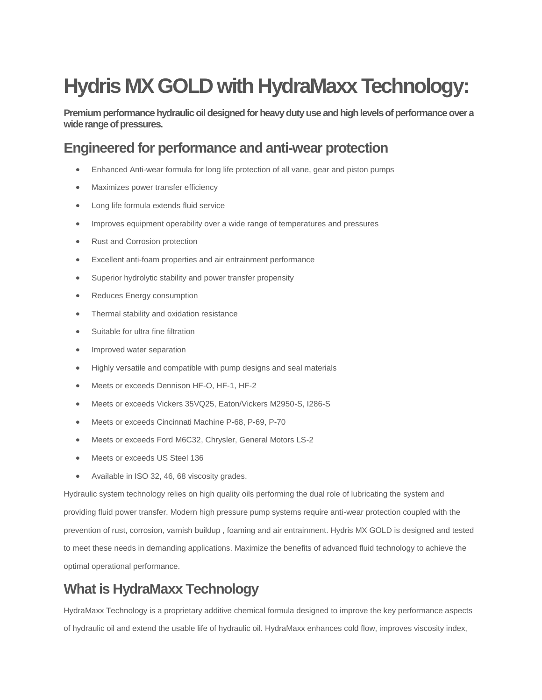# **Hydris MX GOLD with HydraMaxx Technology:**

**Premium performance hydraulic oil designed for heavy duty use and high levels of performance over a wide range of pressures.** 

### **Engineered for performance and anti-wear protection**

- Enhanced Anti-wear formula for long life protection of all vane, gear and piston pumps
- Maximizes power transfer efficiency
- Long life formula extends fluid service
- Improves equipment operability over a wide range of temperatures and pressures
- Rust and Corrosion protection
- Excellent anti-foam properties and air entrainment performance
- Superior hydrolytic stability and power transfer propensity
- Reduces Energy consumption
- Thermal stability and oxidation resistance
- Suitable for ultra fine filtration
- Improved water separation
- Highly versatile and compatible with pump designs and seal materials
- Meets or exceeds Dennison HF-O, HF-1, HF-2
- Meets or exceeds Vickers 35VQ25, Eaton/Vickers M2950-S, I286-S
- Meets or exceeds Cincinnati Machine P-68, P-69, P-70
- Meets or exceeds Ford M6C32, Chrysler, General Motors LS-2
- Meets or exceeds US Steel 136
- Available in ISO 32, 46, 68 viscosity grades.

Hydraulic system technology relies on high quality oils performing the dual role of lubricating the system and providing fluid power transfer. Modern high pressure pump systems require anti-wear protection coupled with the prevention of rust, corrosion, varnish buildup , foaming and air entrainment. Hydris MX GOLD is designed and tested to meet these needs in demanding applications. Maximize the benefits of advanced fluid technology to achieve the optimal operational performance.

# **What is HydraMaxx Technology**

HydraMaxx Technology is a proprietary additive chemical formula designed to improve the key performance aspects of hydraulic oil and extend the usable life of hydraulic oil. HydraMaxx enhances cold flow, improves viscosity index,